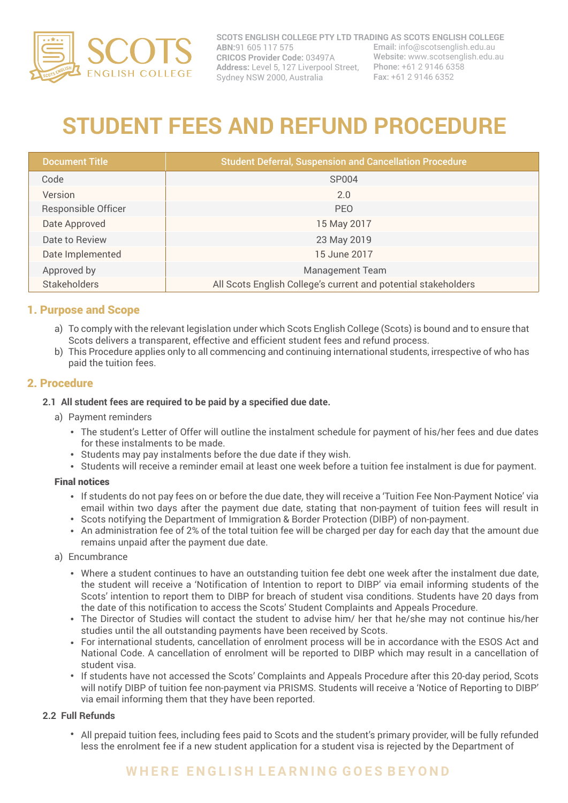

**SCOTS ENGLISH COLLEGE PTY LTD TRADING AS SCOTS ENGLISH COLLEGE ABN:**91 605 117 575 **CRICOS Provider Code:** 03497A **Address:** Level 5, 127 Liverpool Street, Phone: +61 2 9146 6358 Sydney NSW 2000, Australia Email: info@scotsenglish.edu.au Website: www.scotsenglish.edu.au Fax: +61 2 9146 6352

# **STUDENT FEES AND REFUND PROCEDURE**

| <b>Document Title</b>      | <b>Student Deferral, Suspension and Cancellation Procedure</b> |
|----------------------------|----------------------------------------------------------------|
| Code                       | <b>SP004</b>                                                   |
| Version                    | 2.0                                                            |
| <b>Responsible Officer</b> | <b>PEO</b>                                                     |
| Date Approved              | 15 May 2017                                                    |
| Date to Review             | 23 May 2019                                                    |
| Date Implemented           | 15 June 2017                                                   |
| Approved by                | <b>Management Team</b>                                         |
| Stakeholders               | All Scots English College's current and potential stakeholders |

# 1. Purpose and Scope

- a) To comply with the relevant legislation under which Scots English College (Scots) is bound and to ensure that Scots delivers a transparent, effective and efficient student fees and refund process.
- b) This Procedure applies only to all commencing and continuing international students, irrespective of who has paid the tuition fees.

# 2. Procedure

#### **2.1 All student fees are required to be paid by a specified due date.**

- a) Payment reminders
	- The student's Letter of Offer will outline the instalment schedule for payment of his/her fees and due dates for these instalments to be made.
	- Students may pay instalments before the due date if they wish.
	- Students will receive a reminder email at least one week before a tuition fee instalment is due for payment.

#### Final notices

- If students do not pay fees on or before the due date, they will receive a 'Tuition Fee Non-Payment Notice' via email within two days after the payment due date, stating that non-payment of tuition fees will result in
- Scots notifying the Department of Immigration & Border Protection (DIBP) of non-payment.
- An administration fee of 2% of the total tuition fee will be charged per day for each day that the amount due remains unpaid after the payment due date.
- a) Encumbrance
	- Where a student continues to have an outstanding tuition fee debt one week after the instalment due date, the student will receive a 'Notification of Intention to report to DIBP' via email informing students of the Scots' intention to report them to DIBP for breach of student visa conditions. Students have 20 days from the date of this notification to access the Scots' Student Complaints and Appeals Procedure.
	- The Director of Studies will contact the student to advise him/ her that he/she may not continue his/her studies until the all outstanding payments have been received by Scots.
	- For international students, cancellation of enrolment process will be in accordance with the ESOS Act and National Code. A cancellation of enrolment will be reported to DIBP which may result in a cancellation of student visa.
	- If students have not accessed the Scots' Complaints and Appeals Procedure after this 20-day period, Scots will notify DIBP of tuition fee non-payment via PRISMS. Students will receive a 'Notice of Reporting to DIBP' via email informing them that they have been reported.

#### **2.2 Full Refunds**

All prepaid tuition fees, including fees paid to Scots and the student's primary provider, will be fully refunded less the enrolment fee if a new student application for a student visa is rejected by the Department of

# **W H E R E E N G L I S H L E A R N I N G G O E S B E Y O N D**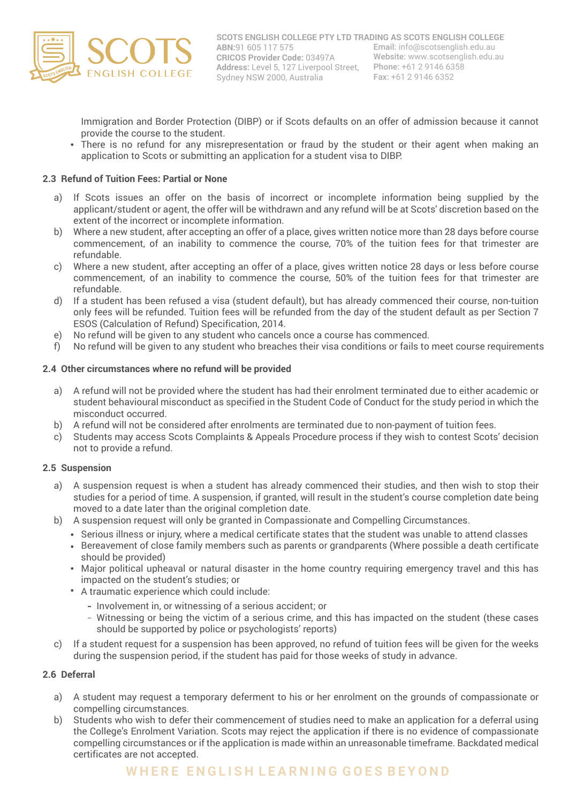

Immigration and Border Protection (DIBP) or if Scots defaults on an offer of admission because it cannot provide the course to the student.

There is no refund for any misrepresentation or fraud by the student or their agent when making an application to Scots or submitting an application for a student visa to DIBP.

#### **2.3 Refund of Tuition Fees: Partial or None**

- a) If Scots issues an offer on the basis of incorrect or incomplete information being supplied by the applicant/student or agent, the offer will be withdrawn and any refund will be at Scots' discretion based on the extent of the incorrect or incomplete information.
- Where a new student, after accepting an offer of a place, gives written notice more than 28 days before course b) commencement, of an inability to commence the course, 70% of the tuition fees for that trimester are refundable.
- Where a new student, after accepting an offer of a place, gives written notice 28 days or less before course c) commencement, of an inability to commence the course, 50% of the tuition fees for that trimester are refundable.
- d) If a student has been refused a visa (student default), but has already commenced their course, non-tuition only fees will be refunded. Tuition fees will be refunded from the day of the student default as per Section 7 ESOS (Calculation of Refund) Specification, 2014.
- No refund will be given to any student who cancels once a course has commenced. e)
- No refund will be given to any student who breaches their visa conditions or fails to meet course requirements f)

#### **2.4 Other circumstances where no refund will be provided**

- a) A refund will not be provided where the student has had their enrolment terminated due to either academic or student behavioural misconduct as specified in the Student Code of Conduct for the study period in which the misconduct occurred.
- A refund will not be considered after enrolments are terminated due to non-payment of tuition fees. b)
- c) Students may access Scots Complaints & Appeals Procedure process if they wish to contest Scots' decision not to provide a refund.

#### **2.5 Suspension**

- a) A suspension request is when a student has already commenced their studies, and then wish to stop their studies for a period of time. A suspension, if granted, will result in the student's course completion date being moved to a date later than the original completion date.
- A suspension request will only be granted in Compassionate and Compelling Circumstances. b)
	- Serious illness or injury, where a medical certificate states that the student was unable to attend classes
	- Bereavement of close family members such as parents or grandparents (Where possible a death certificate should be provided)
	- Major political upheaval or natural disaster in the home country requiring emergency travel and this has impacted on the student's studies; or
	- A traumatic experience which could include:
		- Involvement in, or witnessing of a serious accident; or
		- Witnessing or being the victim of a serious crime, and this has impacted on the student (these cases should be supported by police or psychologists' reports)
- c) If a student request for a suspension has been approved, no refund of tuition fees will be given for the weeks during the suspension period, if the student has paid for those weeks of study in advance.

#### **2.6 Deferral**

- a) A student may request a temporary deferment to his or her enrolment on the grounds of compassionate or compelling circumstances.
- Students who wish to defer their commencement of studies need to make an application for a deferral using the College's Enrolment Variation. Scots may reject the application if there is no evidence of compassionate compelling circumstances or if the application is made within an unreasonable timeframe. Backdated medical certificates are not accepted. b)